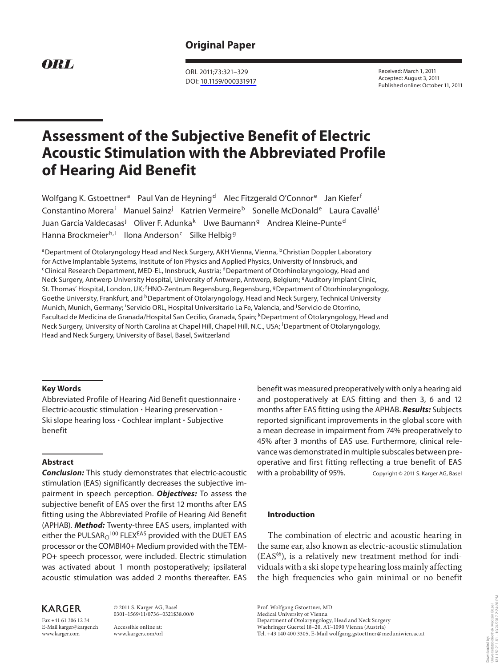# **Original Paper**

 ORL 2011;73:321–329 DOI: [10.1159/000331917](http://dx.doi.org/10.1159%2F000331917)  Received: March 1, 2011 Accepted: August 3, 2011 Published online: October 11, 2011

# **Assessment of the Subjective Benefit of Electric Acoustic Stimulation with the Abbreviated Profile of Hearing Aid Benefit**

Wolfgang K. Gstoettner<sup>a</sup> Paul Van de Heyning<sup>d</sup> Alec Fitzgerald O'Connor<sup>e</sup> Jan Kiefer<sup>f</sup> Constantino Morera<sup>i</sup> Manuel Sainz<sup>j</sup> Katrien Vermeire<sup>b</sup> Sonelle McDonald<sup>e</sup> Laura Cavallé<sup>i</sup> Juan García Valdecasas<sup>j</sup> Oliver F. Adunka<sup>k</sup> Uwe Baumann<sup>g</sup> Andrea Kleine-Punte<sup>d</sup> Hanna Brockmeier<sup>h, I</sup> Ilona Anderson<sup>c</sup> Silke Helbig<sup>g</sup>

a Department of Otolaryngology Head and Neck Surgery, AKH Vienna, Vienna, <sup>b</sup> Christian Doppler Laboratory for Active Implantable Systems, Institute of Ion Physics and Applied Physics, University of Innsbruck, and <sup>c</sup> Clinical Research Department, MED-EL, Innsbruck, Austria; <sup>d</sup> Department of Otorhinolaryngology, Head and Neck Surgery, Antwerp University Hospital, University of Antwerp, Antwerp, Belgium; <sup>e</sup> Auditory Implant Clinic, St. Thomas' Hospital, London, UK; <sup>f</sup>HNO-Zentrum Regensburg, Regensburg, <sup>g</sup>Department of Otorhinolaryngology, Goethe University, Frankfurt, and <sup>h</sup> Department of Otolaryngology, Head and Neck Surgery, Technical University Munich, Munich, Germany; <sup>i</sup> Servicio ORL, Hospital Universitario La Fe, Valencia, and <sup>j</sup> Servicio de Otorrino, Facultad de Medicina de Granada/Hospital San Cecilio, Granada, Spain; kDepartment of Otolaryngology, Head and Neck Surgery, University of North Carolina at Chapel Hill, Chapel Hill, N.C., USA; Department of Otolaryngology, Head and Neck Surgery, University of Basel, Basel, Switzerland

# **Key Words**

Abbreviated Profile of Hearing Aid Benefit questionnaire · Electric-acoustic stimulation  $\cdot$  Hearing preservation  $\cdot$ Ski slope hearing loss · Cochlear implant · Subjective benefit

#### **Abstract**

*Conclusion:* This study demonstrates that electric-acoustic stimulation (EAS) significantly decreases the subjective impairment in speech perception. *Objectives:* To assess the subjective benefit of EAS over the first 12 months after EAS fitting using the Abbreviated Profile of Hearing Aid Benefit (APHAB). *Method:* Twenty-three EAS users, implanted with either the PULSAR<sub>CI</sub><sup>100</sup> FLEX<sup>EAS</sup> provided with the DUET EAS processor or the COMBI40+ Medium provided with the TEM-PO+ speech processor, were included. Electric stimulation was activated about 1 month postoperatively; ipsilateral acoustic stimulation was added 2 months thereafter. EAS

# **KARGER**

Fax +41 61 306 12 34 E-Mail karger@karger.ch www.karger.com

 © 2011 S. Karger AG, Basel 0301–1569/11/0736–0321\$38.00/0

 Accessible online at: www.karger.com/orl benefit was measured preoperatively with only a hearing aid and postoperatively at EAS fitting and then 3, 6 and 12 months after EAS fitting using the APHAB. *Results:* Subjects reported significant improvements in the global score with a mean decrease in impairment from 74% preoperatively to 45% after 3 months of EAS use. Furthermore, clinical relevance was demonstrated in multiple subscales between preoperative and first fitting reflecting a true benefit of EAS with a probability of 95%. Copyright © 2011 S. Karger AG, Basel

#### **Introduction**

 The combination of electric and acoustic hearing in the same ear, also known as electric-acoustic stimulation  $(EAS^@)$ , is a relatively new treatment method for individuals with a ski slope type hearing loss mainly affecting the high frequencies who gain minimal or no benefit

**ORL** 

Prof. Wolfgang Gstoettner, MD Medical University of Vienna Department of Otolaryngology, Head and Neck Surgery Waehringer Guertel 18–20, AT–1090 Vienna (Austria) Tel. +43 140 400 3305, E-Mail wolfgang.gstoettner @ meduniwien.ac.at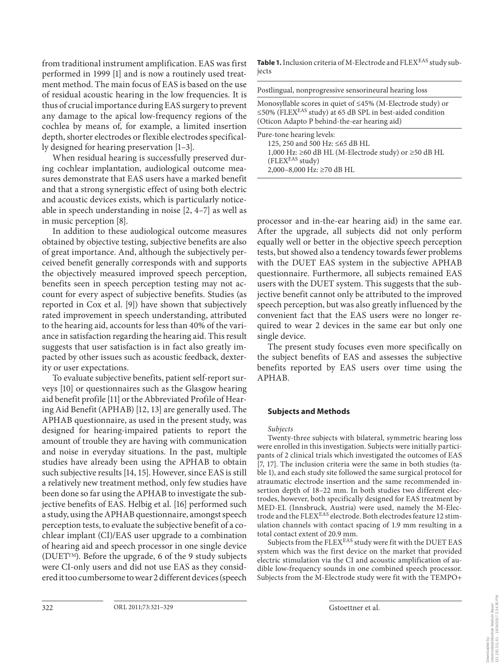from traditional instrument amplification. EAS was first performed in 1999 [1] and is now a routinely used treatment method. The main focus of EAS is based on the use of residual acoustic hearing in the low frequencies. It is thus of crucial importance during EAS surgery to prevent any damage to the apical low-frequency regions of the cochlea by means of, for example, a limited insertion depth, shorter electrodes or flexible electrodes specifically designed for hearing preservation [1–3] .

 When residual hearing is successfully preserved during cochlear implantation, audiological outcome measures demonstrate that EAS users have a marked benefit and that a strong synergistic effect of using both electric and acoustic devices exists, which is particularly noticeable in speech understanding in noise [2, 4–7] as well as in music perception [8].

 In addition to these audiological outcome measures obtained by objective testing, subjective benefits are also of great importance. And, although the subjectively perceived benefit generally corresponds with and supports the objectively measured improved speech perception, benefits seen in speech perception testing may not account for every aspect of subjective benefits. Studies (as reported in Cox et al. [9]) have shown that subjectively rated improvement in speech understanding, attributed to the hearing aid, accounts for less than 40% of the variance in satisfaction regarding the hearing aid. This result suggests that user satisfaction is in fact also greatly impacted by other issues such as acoustic feedback, dexterity or user expectations.

 To evaluate subjective benefits, patient self-report surveys [10] or questionnaires such as the Glasgow hearing aid benefit profile [11] or the Abbreviated Profile of Hearing Aid Benefit (APHAB) [12, 13] are generally used. The APHAB questionnaire, as used in the present study, was designed for hearing-impaired patients to report the amount of trouble they are having with communication and noise in everyday situations. In the past, multiple studies have already been using the APHAB to obtain such subjective results [14, 15]. However, since EAS is still a relatively new treatment method, only few studies have been done so far using the APHAB to investigate the subjective benefits of EAS. Helbig et al. [16] performed such a study, using the APHAB questionnaire, amongst speech perception tests, to evaluate the subjective benefit of a cochlear implant (CI)/EAS user upgrade to a combination of hearing aid and speech processor in one single device (DUETTM). Before the upgrade, 6 of the 9 study subjects were CI-only users and did not use EAS as they considered it too cumbersome to wear 2 different devices (speech

Table 1. Inclusion criteria of M-Electrode and FLEX<sup>EAS</sup> study subjects

| Postlingual, nonprogressive sensorineural hearing loss                                                                                                                               |
|--------------------------------------------------------------------------------------------------------------------------------------------------------------------------------------|
| Monosyllable scores in quiet of $\leq$ 45% (M-Electrode study) or<br>$\leq$ 50% (FLEXEAS study) at 65 dB SPL in best-aided condition<br>(Oticon Adapto P behind-the-ear hearing aid) |
| Pure-tone hearing levels:<br>125, 250 and 500 Hz: ≤65 dB HL                                                                                                                          |
| 1,000 Hz: $\geq 60$ dB HL (M-Electrode study) or $\geq 50$ dB HL<br>(FLEX <sup>EAS</sup> study)                                                                                      |
| 2,000-8,000 Hz: ≥70 dB HL                                                                                                                                                            |

processor and in-the-ear hearing aid) in the same ear. After the upgrade, all subjects did not only perform equally well or better in the objective speech perception tests, but showed also a tendency towards fewer problems with the DUET EAS system in the subjective APHAB questionnaire. Furthermore, all subjects remained EAS users with the DUET system. This suggests that the subjective benefit cannot only be attributed to the improved speech perception, but was also greatly influenced by the convenient fact that the EAS users were no longer required to wear 2 devices in the same ear but only one single device.

 The present study focuses even more specifically on the subject benefits of EAS and assesses the subjective benefits reported by EAS users over time using the APHAB.

# **Subjects and Methods**

#### *Subjects*

 Twenty-three subjects with bilateral, symmetric hearing loss were enrolled in this investigation. Subjects were initially participants of 2 clinical trials which investigated the outcomes of EAS [7, 17]. The inclusion criteria were the same in both studies (table 1), and each study site followed the same surgical protocol for atraumatic electrode insertion and the same recommended insertion depth of 18–22 mm. In both studies two different electrodes, however, both specifically designed for EAS treatment by MED-EL (Innsbruck, Austria) were used, namely the M-Electrode and the FLEX EAS electrode. Both electrodes feature 12 stimulation channels with contact spacing of 1.9 mm resulting in a total contact extent of 20.9 mm.

Subjects from the FLEX<sup>EAS</sup> study were fit with the DUET EAS system which was the first device on the market that provided electric stimulation via the CI and acoustic amplification of audible low-frequency sounds in one combined speech processor. Subjects from the M-Electrode study were fit with the TEMPO+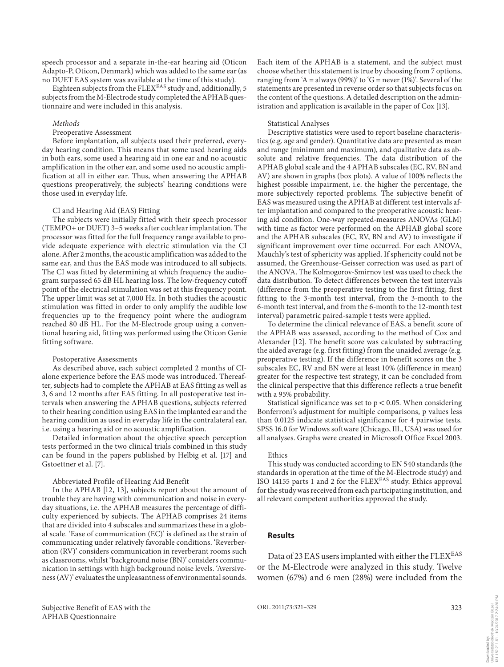speech processor and a separate in-the-ear hearing aid (Oticon Adapto-P, Oticon, Denmark) which was added to the same ear (as no DUET EAS system was available at the time of this study).

Eighteen subjects from the FLEX<sup>EAS</sup> study and, additionally, 5 subjects from the M-Electrode study completed the APHAB questionnaire and were included in this analysis.

#### *Methods*

Preoperative Assessment

 Before implantation, all subjects used their preferred, everyday hearing condition. This means that some used hearing aids in both ears, some used a hearing aid in one ear and no acoustic amplification in the other ear, and some used no acoustic amplification at all in either ear. Thus, when answering the APHAB questions preoperatively, the subjects' hearing conditions were those used in everyday life.

#### CI and Hearing Aid (EAS) Fitting

 The subjects were initially fitted with their speech processor (TEMPO+ or DUET) 3–5 weeks after cochlear implantation. The processor was fitted for the full frequency range available to provide adequate experience with electric stimulation via the CI alone. After 2 months, the acoustic amplification was added to the same ear, and thus the EAS mode was introduced to all subjects. The CI was fitted by determining at which frequency the audiogram surpassed 65 dB HL hearing loss. The low-frequency cutoff point of the electrical stimulation was set at this frequency point. The upper limit was set at 7,000 Hz. In both studies the acoustic stimulation was fitted in order to only amplify the audible low frequencies up to the frequency point where the audiogram reached 80 dB HL. For the M-Electrode group using a conventional hearing aid, fitting was performed using the Oticon Genie fitting software.

#### Postoperative Assessments

 As described above, each subject completed 2 months of CIalone experience before the EAS mode was introduced. Thereafter, subjects had to complete the APHAB at EAS fitting as well as 3, 6 and 12 months after EAS fitting. In all postoperative test intervals when answering the APHAB questions, subjects referred to their hearing condition using EAS in the implanted ear and the hearing condition as used in everyday life in the contralateral ear, i.e. using a hearing aid or no acoustic amplification.

 Detailed information about the objective speech perception tests performed in the two clinical trials combined in this study can be found in the papers published by Helbig et al. [17] and Gstoettner et al. [7].

#### Abbreviated Profile of Hearing Aid Benefit

In the APHAB [12, 13], subjects report about the amount of trouble they are having with communication and noise in everyday situations, i.e. the APHAB measures the percentage of difficulty experienced by subjects. The APHAB comprises 24 items that are divided into 4 subscales and summarizes these in a global scale. 'Ease of communication (EC)' is defined as the strain of communicating under relatively favorable conditions. 'Reverberation (RV)' considers communication in reverberant rooms such as classrooms, whilst 'background noise (BN)' considers communication in settings with high background noise levels. 'Aversiveness (AV)' evaluates the unpleasantness of environmental sounds.

Each item of the APHAB is a statement, and the subject must choose whether this statement is true by choosing from 7 options, ranging from 'A = always (99%)' to 'G = never  $(1\%)$ '. Several of the statements are presented in reverse order so that subjects focus on the content of the questions. A detailed description on the administration and application is available in the paper of Cox [13] .

#### Statistical Analyses

 Descriptive statistics were used to report baseline characteristics (e.g. age and gender). Quantitative data are presented as mean and range (minimum and maximum), and qualitative data as absolute and relative frequencies. The data distribution of the APHAB global scale and the 4 APHAB subscales (EC, RV, BN and AV) are shown in graphs (box plots). A value of 100% reflects the highest possible impairment, i.e. the higher the percentage, the more subjectively reported problems. The subjective benefit of EAS was measured using the APHAB at different test intervals after implantation and compared to the preoperative acoustic hearing aid condition. One-way repeated-measures ANOVAs (GLM) with time as factor were performed on the APHAB global score and the APHAB subscales (EC, RV, BN and AV) to investigate if significant improvement over time occurred. For each ANOVA, Mauchly's test of sphericity was applied. If sphericity could not be assumed, the Greenhouse-Geisser correction was used as part of the ANOVA. The Kolmogorov-Smirnov test was used to check the data distribution. To detect differences between the test intervals (difference from the preoperative testing to the first fitting, first fitting to the 3-month test interval, from the 3-month to the 6-month test interval, and from the 6-month to the 12-month test interval) parametric paired-sample t tests were applied.

 To determine the clinical relevance of EAS, a benefit score of the APHAB was assessed, according to the method of Cox and Alexander [12]. The benefit score was calculated by subtracting the aided average (e.g. first fitting) from the unaided average (e.g. preoperative testing). If the difference in benefit scores on the 3 subscales EC, RV and BN were at least 10% (difference in mean) greater for the respective test strategy, it can be concluded from the clinical perspective that this difference reflects a true benefit with a 95% probability.

Statistical significance was set to  $p < 0.05$ . When considering Bonferroni's adjustment for multiple comparisons, p values less than 0.0125 indicate statistical significance for 4 pairwise tests. SPSS 16.0 for Windows software (Chicago, Ill., USA) was used for all analyses. Graphs were created in Microsoft Office Excel 2003.

#### Ethics

 This study was conducted according to EN 540 standards (the standards in operation at the time of the M-Electrode study) and ISO 14155 parts 1 and 2 for the FLEX EAS study. Ethics approval for the study was received from each participating institution, and all relevant competent authorities approved the study.

# **Results**

Data of 23 EAS users implanted with either the FLEX EAS or the M-Electrode were analyzed in this study. Twelve women (67%) and 6 men (28%) were included from the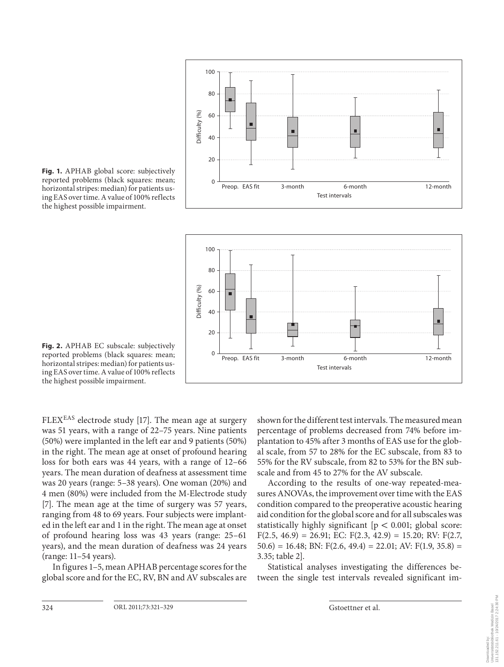

**Fig. 1.** APHAB global score: subjectively reported problems (black squares: mean; horizontal stripes: median) for patients using EAS over time. A value of 100% reflects the highest possible impairment.



**Fig. 2.** APHAB EC subscale: subjectively reported problems (black squares: mean; horizontal stripes: median) for patients using EAS over time. A value of 100% reflects the highest possible impairment.

FLEX<sup>EAS</sup> electrode study [17]. The mean age at surgery was 51 years, with a range of 22–75 years. Nine patients (50%) were implanted in the left ear and 9 patients (50%) in the right. The mean age at onset of profound hearing loss for both ears was 44 years, with a range of 12–66 years. The mean duration of deafness at assessment time was 20 years (range: 5–38 years). One woman (20%) and 4 men (80%) were included from the M-Electrode study [7]. The mean age at the time of surgery was 57 years, ranging from 48 to 69 years. Four subjects were implanted in the left ear and 1 in the right. The mean age at onset of profound hearing loss was 43 years (range: 25–61 years), and the mean duration of deafness was 24 years (range: 11–54 years).

 In figures 1–5 , mean APHAB percentage scores for the global score and for the EC, RV, BN and AV subscales are shown for the different test intervals. The measured mean percentage of problems decreased from 74% before implantation to 45% after 3 months of EAS use for the global scale, from 57 to 28% for the EC subscale, from 83 to 55% for the RV subscale, from 82 to 53% for the BN subscale and from 45 to 27% for the AV subscale.

 According to the results of one-way repeated-measures ANOVAs, the improvement over time with the EAS condition compared to the preoperative acoustic hearing aid condition for the global score and for all subscales was statistically highly significant  $[p < 0.001;$  global score:  $F(2.5, 46.9) = 26.91$ ; EC:  $F(2.3, 42.9) = 15.20$ ; RV:  $F(2.7, 46.9) = 15.20$  $50.6$ ) = 16.48; BN: F(2.6, 49.4) = 22.01; AV: F(1.9, 35.8) = 3.35; table 2].

 Statistical analyses investigating the differences between the single test intervals revealed significant im-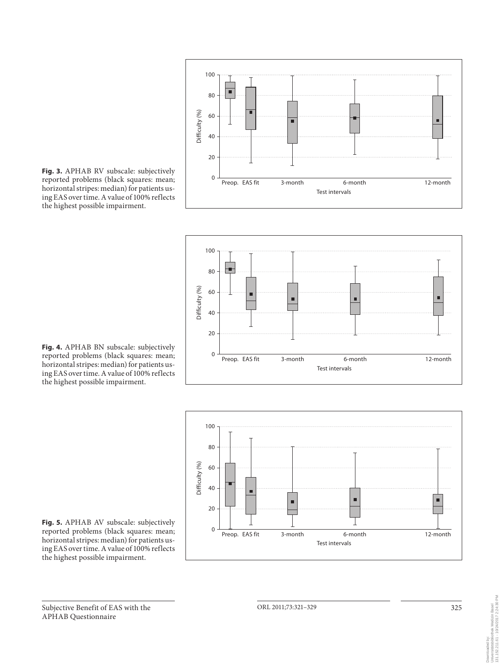

**Fig. 3.** APHAB RV subscale: subjectively reported problems (black squares: mean; horizontal stripes: median) for patients using EAS over time. A value of 100% reflects the highest possible impairment.



**Fig. 4.** APHAB BN subscale: subjectively reported problems (black squares: mean; horizontal stripes: median) for patients using EAS over time. A value of 100% reflects the highest possible impairment.



**Fig. 5.** APHAB AV subscale: subjectively reported problems (black squares: mean; horizontal stripes: median) for patients using EAS over time. A value of 100% reflects the highest possible impairment.

Downloaded by:

Universitätsbibliothek Medizin Basel 131.152.211.61 - 10/24/2017 2:24:30 PM

Downloaded by:<br>Universitätsbibliothek Medizin Basel<br>131,152.211.61 - 10/24/2017 2:24:30 PM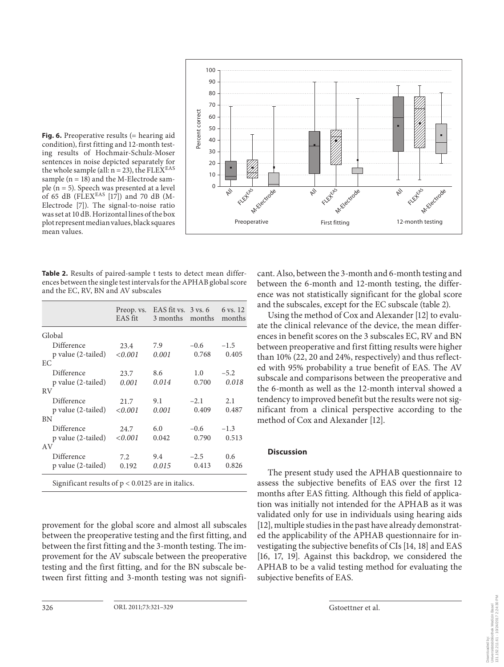

**Fig. 6.** Preoperative results (= hearing aid condition), first fitting and 12-month testing results of Hochmair-Schulz-Moser sentences in noise depicted separately for the whole sample (all:  $n = 23$ ), the FLEX<sup>EAS</sup> sample  $(n = 18)$  and the M-Electrode sample (n = 5). Speech was presented at a level of 65 dB (FLEXEAS [17]) and 70 dB (M-Electrode [7]). The signal-to-noise ratio was set at 10 dB. Horizontal lines of the box plot represent median values, black squares mean values.

**Table 2.** Results of paired-sample t tests to detect mean differences between the single test intervals for the APHAB global score and the EC, RV, BN and AV subscales

|                                                     | Preop. vs.<br>EAS fit | EAS fit vs. $3 \text{ vs. } 6$<br>3 months months |        | 6 vs. 12<br>months |
|-----------------------------------------------------|-----------------------|---------------------------------------------------|--------|--------------------|
| Global                                              |                       |                                                   |        |                    |
| Difference                                          | 23.4                  | 7.9                                               | $-0.6$ | $-1.5$             |
| p value (2-tailed)                                  | < 0.001               | 0.001                                             | 0.768  | 0.405              |
| EC                                                  |                       |                                                   |        |                    |
| Difference                                          | 23.7                  | 8.6                                               | 1.0    | $-5.2$             |
| p value (2-tailed)                                  | 0.001                 | 0.014                                             | 0.700  | 0.018              |
| RV                                                  |                       |                                                   |        |                    |
| Difference                                          | 21.7                  | 9.1                                               | $-2.1$ | 2.1                |
| p value (2-tailed)                                  | < 0.001               | 0.001                                             | 0.409  | 0.487              |
| <b>BN</b>                                           |                       |                                                   |        |                    |
| Difference                                          | 24.7                  | 6.0                                               | $-0.6$ | $-1.3$             |
| p value (2-tailed)                                  | < 0.001               | 0.042                                             | 0.790  | 0.513              |
| AV                                                  |                       |                                                   |        |                    |
| Difference                                          | 7.2                   | 9.4                                               | $-2.5$ | 0.6                |
| p value (2-tailed)                                  | 0.192                 | 0.015                                             | 0.413  | 0.826              |
| Significant results of $p < 0.0125$ are in italics. |                       |                                                   |        |                    |

provement for the global score and almost all subscales between the preoperative testing and the first fitting, and between the first fitting and the 3-month testing. The improvement for the AV subscale between the preoperative testing and the first fitting, and for the BN subscale between first fitting and 3-month testing was not significant. Also, between the 3-month and 6-month testing and between the 6-month and 12-month testing, the difference was not statistically significant for the global score and the subscales, except for the EC subscale (table 2).

 Using the method of Cox and Alexander [12] to evaluate the clinical relevance of the device, the mean differences in benefit scores on the 3 subscales EC, RV and BN between preoperative and first fitting results were higher than 10% (22, 20 and 24%, respectively) and thus reflected with 95% probability a true benefit of EAS. The AV subscale and comparisons between the preoperative and the 6-month as well as the 12-month interval showed a tendency to improved benefit but the results were not significant from a clinical perspective according to the method of Cox and Alexander [12] .

# **Discussion**

 The present study used the APHAB questionnaire to assess the subjective benefits of EAS over the first 12 months after EAS fitting. Although this field of application was initially not intended for the APHAB as it was validated only for use in individuals using hearing aids [12], multiple studies in the past have already demonstrated the applicability of the APHAB questionnaire for investigating the subjective benefits of CIs [14, 18] and EAS [16, 17, 19]. Against this backdrop, we considered the APHAB to be a valid testing method for evaluating the subjective benefits of EAS.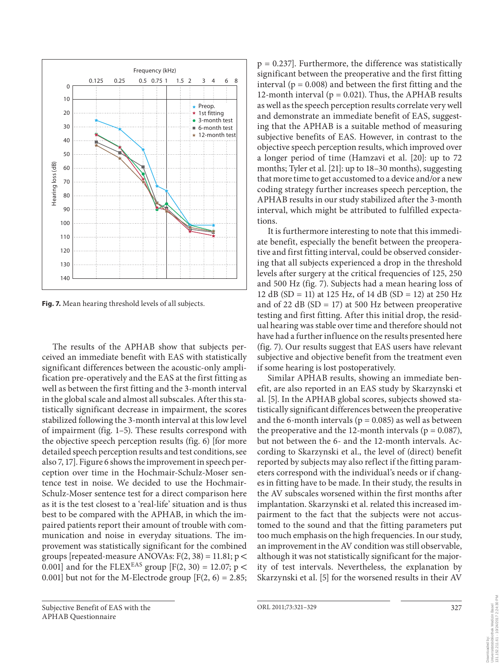

**Fig. 7.** Mean hearing threshold levels of all subjects.

 The results of the APHAB show that subjects perceived an immediate benefit with EAS with statistically significant differences between the acoustic-only amplification pre-operatively and the EAS at the first fitting as well as between the first fitting and the 3-month interval in the global scale and almost all subscales. After this statistically significant decrease in impairment, the scores stabilized following the 3-month interval at this low level of impairment (fig.  $1-5$ ). These results correspond with the objective speech perception results (fig. 6) [for more detailed speech perception results and test conditions, see also 7, 17]. Figure 6 shows the improvement in speech perception over time in the Hochmair-Schulz-Moser sentence test in noise. We decided to use the Hochmair-Schulz-Moser sentence test for a direct comparison here as it is the test closest to a 'real-life' situation and is thus best to be compared with the APHAB, in which the impaired patients report their amount of trouble with communication and noise in everyday situations. The improvement was statistically significant for the combined groups [repeated-measure ANOVAs:  $F(2, 38) = 11.81$ ;  $p <$ 0.001] and for the FLEX<sup>EAS</sup> group  $[F(2, 30) = 12.07; p <$ 0.001] but not for the M-Electrode group  $[F(2, 6) = 2.85;$   $p = 0.237$ . Furthermore, the difference was statistically significant between the preoperative and the first fitting interval ( $p = 0.008$ ) and between the first fitting and the 12-month interval ( $p = 0.021$ ). Thus, the APHAB results as well as the speech perception results correlate very well and demonstrate an immediate benefit of EAS, suggesting that the APHAB is a suitable method of measuring subjective benefits of EAS. However, in contrast to the objective speech perception results, which improved over a longer period of time (Hamzavi et al. [20]: up to 72 months; Tyler et al. [21]: up to 18–30 months), suggesting that more time to get accustomed to a device and/or a new coding strategy further increases speech perception, the APHAB results in our study stabilized after the 3-month interval, which might be attributed to fulfilled expectations.

 It is furthermore interesting to note that this immediate benefit, especially the benefit between the preoperative and first fitting interval, could be observed considering that all subjects experienced a drop in the threshold levels after surgery at the critical frequencies of 125, 250 and 500 Hz (fig. 7). Subjects had a mean hearing loss of 12 dB (SD = 11) at 125 Hz, of 14 dB (SD = 12) at 250 Hz and of 22 dB ( $SD = 17$ ) at 500 Hz between preoperative testing and first fitting. After this initial drop, the residual hearing was stable over time and therefore should not have had a further influence on the results presented here (fig. 7). Our results suggest that EAS users have relevant subjective and objective benefit from the treatment even if some hearing is lost postoperatively.

 Similar APHAB results, showing an immediate benefit, are also reported in an EAS study by Skarzynski et al. [5]. In the APHAB global scores, subjects showed statistically significant differences between the preoperative and the 6-month intervals ( $p = 0.085$ ) as well as between the preoperative and the 12-month intervals ( $p = 0.087$ ), but not between the 6- and the 12-month intervals. According to Skarzynski et al., the level of (direct) benefit reported by subjects may also reflect if the fitting parameters correspond with the individual's needs or if changes in fitting have to be made. In their study, the results in the AV subscales worsened within the first months after implantation. Skarzynski et al. related this increased impairment to the fact that the subjects were not accustomed to the sound and that the fitting parameters put too much emphasis on the high frequencies. In our study, an improvement in the AV condition was still observable, although it was not statistically significant for the majority of test intervals. Nevertheless, the explanation by Skarzynski et al. [5] for the worsened results in their AV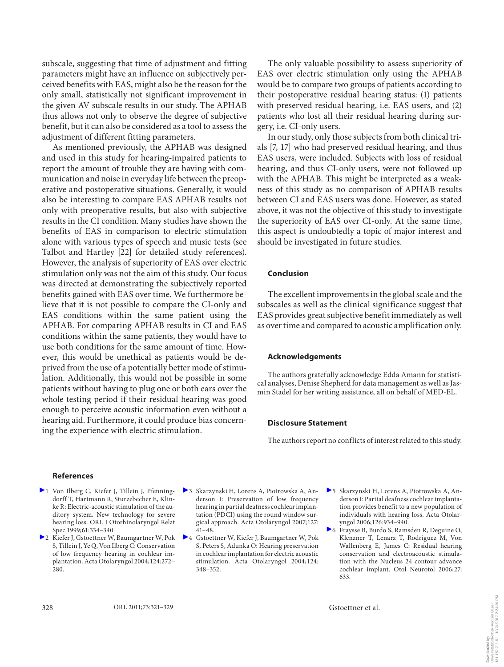subscale, suggesting that time of adjustment and fitting parameters might have an influence on subjectively perceived benefits with EAS, might also be the reason for the only small, statistically not significant improvement in the given AV subscale results in our study. The APHAB thus allows not only to observe the degree of subjective benefit, but it can also be considered as a tool to assess the adjustment of different fitting parameters.

 As mentioned previously, the APHAB was designed and used in this study for hearing-impaired patients to report the amount of trouble they are having with communication and noise in everyday life between the preoperative and postoperative situations. Generally, it would also be interesting to compare EAS APHAB results not only with preoperative results, but also with subjective results in the CI condition. Many studies have shown the benefits of EAS in comparison to electric stimulation alone with various types of speech and music tests (see Talbot and Hartley [22] for detailed study references). However, the analysis of superiority of EAS over electric stimulation only was not the aim of this study. Our focus was directed at demonstrating the subjectively reported benefits gained with EAS over time. We furthermore believe that it is not possible to compare the CI-only and EAS conditions within the same patient using the APHAB. For comparing APHAB results in CI and EAS conditions within the same patients, they would have to use both conditions for the same amount of time. However, this would be unethical as patients would be deprived from the use of a potentially better mode of stimulation. Additionally, this would not be possible in some patients without having to plug one or both ears over the whole testing period if their residual hearing was good enough to perceive acoustic information even without a hearing aid. Furthermore, it could produce bias concerning the experience with electric stimulation.

 The only valuable possibility to assess superiority of EAS over electric stimulation only using the APHAB would be to compare two groups of patients according to their postoperative residual hearing status: (1) patients with preserved residual hearing, i.e. EAS users, and (2) patients who lost all their residual hearing during surgery, i.e. CI-only users.

 In our study, only those subjects from both clinical trials [7, 17] who had preserved residual hearing, and thus EAS users, were included. Subjects with loss of residual hearing, and thus CI-only users, were not followed up with the APHAB. This might be interpreted as a weakness of this study as no comparison of APHAB results between CI and EAS users was done. However, as stated above, it was not the objective of this study to investigate the superiority of EAS over CI-only. At the same time, this aspect is undoubtedly a topic of major interest and should be investigated in future studies.

# **Conclusion**

 The excellent improvements in the global scale and the subscales as well as the clinical significance suggest that EAS provides great subjective benefit immediately as well as over time and compared to acoustic amplification only.

# **Acknowledgements**

 The authors gratefully acknowledge Edda Amann for statistical analyses, Denise Shepherd for data management as well as Jasmin Stadel for her writing assistance, all on behalf of MED-EL.

# **Disclosure Statement**

The authors report no conflicts of interest related to this study.

#### **References**

- 1 Von Ilberg C, Kiefer J, Tillein J, Pfenningdorff T, Hartmann R, Sturzebecher E, Klinke R: Electric-acoustic stimulation of the auditory system. New technology for severe hearing loss. ORL J Otorhinolaryngol Relat Spec 1999;61:334–340.
- 2 Kiefer J, Gstoettner W, Baumgartner W, Pok S, Tillein J, Ye Q, Von Ilberg C: Conservation of low frequency hearing in cochlear implantation. Acta Otolaryngol 2004;124:272– 280.
- 3 Skarzynski H, Lorens A, Piotrowska A, Anderson I: Preservation of low frequency hearing in partial deafness cochlear implantation (PDCI) using the round window surgical approach. Acta Otolaryngol 2007;127: 41–48.
- 4 Gstoettner W, Kiefer J, Baumgartner W, Pok S, Peters S, Adunka O: Hearing preservation in cochlear implantation for electric acoustic stimulation. Acta Otolaryngol 2004; 124: 348–352.
- 5 Skarzynski H, Lorens A, Piotrowska A, Anderson I: Partial deafness cochlear implantation provides benefit to a new population of individuals with hearing loss. Acta Otolaryngol 2006;126:934–940.
- 6 Fraysse B, Burdo S, Ramsden R, Deguine O, Klenzner T, Lenarz T, Rodriguez M, Von Wallenberg E, James C: Residual hearing conservation and electroacoustic stimulation with the Nucleus 24 contour advance cochlear implant. Otol Neurotol 2006;27: 633.